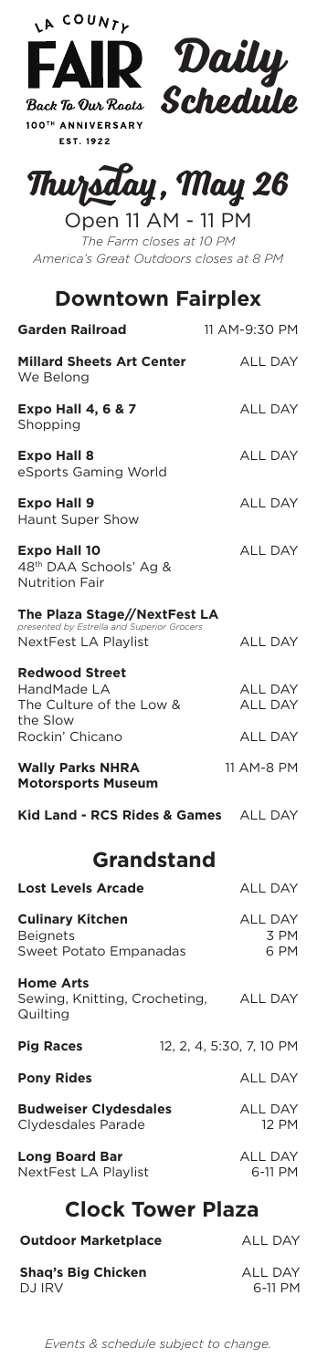



# **Thursday, May 26**

| Open 11 AM - 11 PM                      |
|-----------------------------------------|
| The Farm closes at 10 PM                |
| America's Great Outdoors closes at 8 PM |

## **Downtown Fairplex**

| <b>Garden Railroad</b>                                                                             | 11 AM-9:30 PM                    |
|----------------------------------------------------------------------------------------------------|----------------------------------|
| <b>Millard Sheets Art Center</b><br>We Belong                                                      | <b>ALL DAY</b>                   |
| <b>Expo Hall 4, 6 &amp; 7</b><br>Shopping                                                          | <b>ALL DAY</b>                   |
| <b>Expo Hall 8</b><br>eSports Gaming World                                                         | <b>ALL DAY</b>                   |
| <b>Expo Hall 9</b><br><b>Haunt Super Show</b>                                                      | <b>ALL DAY</b>                   |
| <b>Expo Hall 10</b><br>48 <sup>th</sup> DAA Schools' Ag &<br><b>Nutrition Fair</b>                 | <b>ALL DAY</b>                   |
| The Plaza Stage//NextFest LA<br>presented by Estrella and Superior Grocers<br>NextFest LA Playlist | <b>ALL DAY</b>                   |
| <b>Redwood Street</b><br>HandMade LA<br>The Culture of the Low &<br>the Slow                       | <b>ALL DAY</b><br><b>ALL DAY</b> |
| Rockin' Chicano                                                                                    | <b>ALL DAY</b>                   |
| <b>Wally Parks NHRA</b><br><b>Motorsports Museum</b>                                               | 11 AM-8 PM                       |
| Kid Land - RCS Rides & Games ALL DAY                                                               |                                  |

## **Grandstand**

| <b>Lost Levels Arcade</b>                                             |                          | <b>ALL DAY</b>                 |
|-----------------------------------------------------------------------|--------------------------|--------------------------------|
| <b>Culinary Kitchen</b><br><b>Beignets</b><br>Sweet Potato Empanadas  |                          | <b>ALL DAY</b><br>3 PM<br>6 PM |
| <b>Home Arts</b><br>Sewing, Knitting, Crocheting, ALL DAY<br>Quilting |                          |                                |
| <b>Pig Races</b>                                                      | 12, 2, 4, 5:30, 7, 10 PM |                                |
| <b>Pony Rides</b>                                                     |                          | <b>ALL DAY</b>                 |
| <b>Budweiser Clydesdales</b><br>Clydesdales Parade                    |                          | <b>ALL DAY</b><br><b>12 PM</b> |
| <b>Long Board Bar</b><br>NextFest LA Playlist                         |                          | <b>ALL DAY</b><br>6-11 PM      |
| <b>Clock Tower Plaza</b>                                              |                          |                                |

| ----------------           |         |
|----------------------------|---------|
| <b>Outdoor Marketplace</b> | ALL DAY |
| <b>Shaq's Big Chicken</b>  | ALL DAY |
| DJ IRV                     | 6-11 PM |